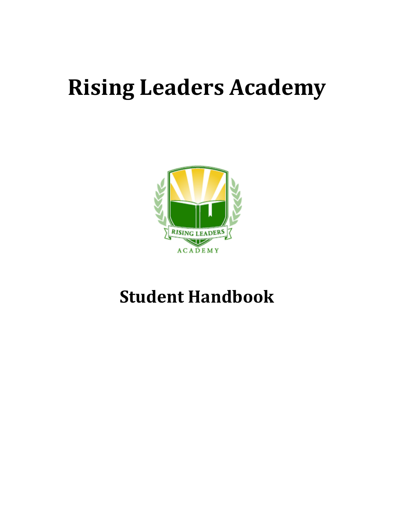# **Rising Leaders Academy**



# **Student Handbook**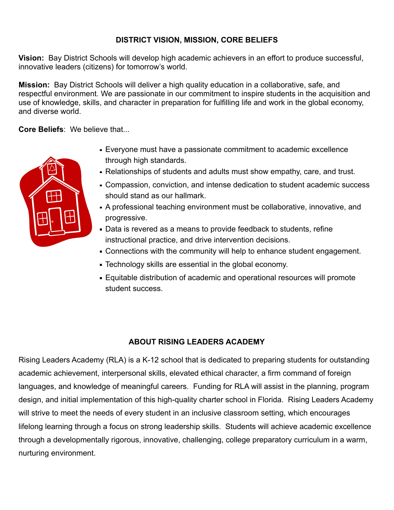# **DISTRICT VISION, MISSION, CORE BELIEFS**

**Vision:** Bay District Schools will develop high academic achievers in an effort to produce successful, innovative leaders (citizens) for tomorrow's world.

**Mission:** Bay District Schools will deliver a high quality education in a collaborative, safe, and respectful environment. We are passionate in our commitment to inspire students in the acquisition and use of knowledge, skills, and character in preparation for fulfilling life and work in the global economy, and diverse world.

**Core Beliefs**: We believe that...



- Everyone must have a passionate commitment to academic excellence through high standards.
- Relationships of students and adults must show empathy, care, and trust.
- Compassion, conviction, and intense dedication to student academic success should stand as our hallmark.
- A professional teaching environment must be collaborative, innovative, and progressive.
- Data is revered as a means to provide feedback to students, refine instructional practice, and drive intervention decisions.
- Connections with the community will help to enhance student engagement.
- Technology skills are essential in the global economy.
- Equitable distribution of academic and operational resources will promote student success.

# **ABOUT RISING LEADERS ACADEMY**

Rising Leaders Academy (RLA) is a K-12 school that is dedicated to preparing students for outstanding academic achievement, interpersonal skills, elevated ethical character, a firm command of foreign languages, and knowledge of meaningful careers. Funding for RLA will assist in the planning, program design, and initial implementation of this high-quality charter school in Florida. Rising Leaders Academy will strive to meet the needs of every student in an inclusive classroom setting, which encourages lifelong learning through a focus on strong leadership skills. Students will achieve academic excellence through a developmentally rigorous, innovative, challenging, college preparatory curriculum in a warm, nurturing environment.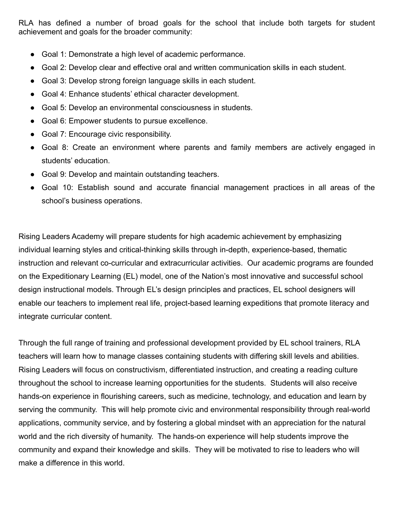RLA has defined a number of broad goals for the school that include both targets for student achievement and goals for the broader community:

- Goal 1: Demonstrate a high level of academic performance.
- Goal 2: Develop clear and effective oral and written communication skills in each student.
- Goal 3: Develop strong foreign language skills in each student.
- Goal 4: Enhance students' ethical character development.
- Goal 5: Develop an environmental consciousness in students.
- Goal 6: Empower students to pursue excellence.
- Goal 7: Encourage civic responsibility.
- Goal 8: Create an environment where parents and family members are actively engaged in students' education.
- Goal 9: Develop and maintain outstanding teachers.
- Goal 10: Establish sound and accurate financial management practices in all areas of the school's business operations.

Rising Leaders Academy will prepare students for high academic achievement by emphasizing individual learning styles and critical-thinking skills through in-depth, experience-based, thematic instruction and relevant co-curricular and extracurricular activities. Our academic programs are founded on the Expeditionary Learning (EL) model, one of the Nation's most innovative and successful school design instructional models. Through EL's design principles and practices, EL school designers will enable our teachers to implement real life, project-based learning expeditions that promote literacy and integrate curricular content.

Through the full range of training and professional development provided by EL school trainers, RLA teachers will learn how to manage classes containing students with differing skill levels and abilities. Rising Leaders will focus on constructivism, differentiated instruction, and creating a reading culture throughout the school to increase learning opportunities for the students. Students will also receive hands-on experience in flourishing careers, such as medicine, technology, and education and learn by serving the community. This will help promote civic and environmental responsibility through real-world applications, community service, and by fostering a global mindset with an appreciation for the natural world and the rich diversity of humanity. The hands-on experience will help students improve the community and expand their knowledge and skills. They will be motivated to rise to leaders who will make a difference in this world.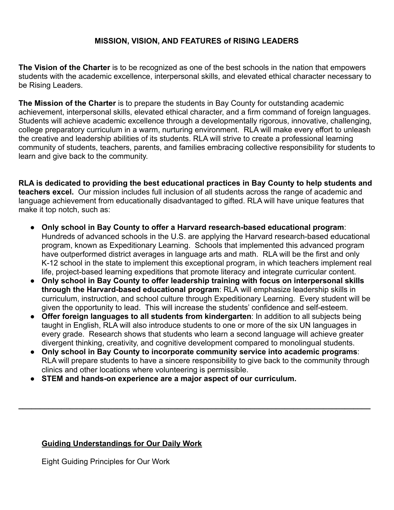# **MISSION, VISION, AND FEATURES of RISING LEADERS**

**The Vision of the Charter** is to be recognized as one of the best schools in the nation that empowers students with the academic excellence, interpersonal skills, and elevated ethical character necessary to be Rising Leaders.

**The Mission of the Charter** is to prepare the students in Bay County for outstanding academic achievement, interpersonal skills, elevated ethical character, and a firm command of foreign languages. Students will achieve academic excellence through a developmentally rigorous, innovative, challenging, college preparatory curriculum in a warm, nurturing environment. RLA will make every effort to unleash the creative and leadership abilities of its students. RLA will strive to create a professional learning community of students, teachers, parents, and families embracing collective responsibility for students to learn and give back to the community.

**RLA is dedicated to providing the best educational practices in Bay County to help students and teachers excel.** Our mission includes full inclusion of all students across the range of academic and language achievement from educationally disadvantaged to gifted. RLA will have unique features that make it top notch, such as:

- **Only school in Bay County to offer a Harvard research-based educational program**: Hundreds of advanced schools in the U.S. are applying the Harvard research-based educational program, known as Expeditionary Learning. Schools that implemented this advanced program have outperformed district averages in language arts and math. RLA will be the first and only K-12 school in the state to implement this exceptional program, in which teachers implement real life, project-based learning expeditions that promote literacy and integrate curricular content.
- **Only school in Bay County to offer leadership training with focus on interpersonal skills through the Harvard-based educational program**: RLA will emphasize leadership skills in curriculum, instruction, and school culture through Expeditionary Learning. Every student will be given the opportunity to lead. This will increase the students' confidence and self-esteem.
- **Offer foreign languages to all students from kindergarten**: In addition to all subjects being taught in English, RLA will also introduce students to one or more of the six UN languages in every grade. Research shows that students who learn a second language will achieve greater divergent thinking, creativity, and cognitive development compared to monolingual students.
- **Only school in Bay County to incorporate community service into academic programs:** RLA will prepare students to have a sincere responsibility to give back to the community through clinics and other locations where volunteering is permissible.

**\_\_\_\_\_\_\_\_\_\_\_\_\_\_\_\_\_\_\_\_\_\_\_\_\_\_\_\_\_\_\_\_\_\_\_\_\_\_\_\_\_\_\_\_\_\_\_\_\_\_\_\_\_\_\_\_\_\_\_\_\_\_\_\_\_\_\_\_\_\_\_\_\_\_\_\_\_\_\_\_\_\_**

**● STEM and hands-on experience are a major aspect of our curriculum.**

# **Guiding Understandings for Our Daily Work**

Eight Guiding Principles for Our Work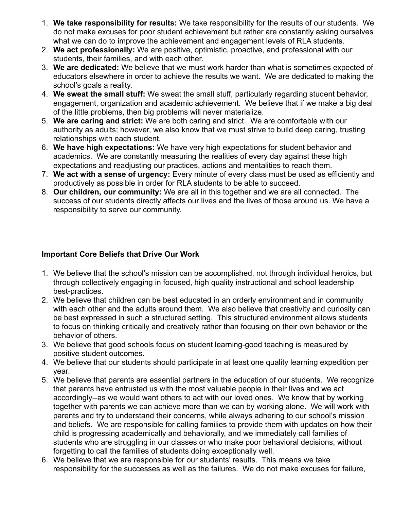- 1. **We take responsibility for results:** We take responsibility for the results of our students. We do not make excuses for poor student achievement but rather are constantly asking ourselves what we can do to improve the achievement and engagement levels of RLA students.
- 2. **We act professionally:** We are positive, optimistic, proactive, and professional with our students, their families, and with each other.
- 3. **We are dedicated:** We believe that we must work harder than what is sometimes expected of educators elsewhere in order to achieve the results we want. We are dedicated to making the school's goals a reality.
- 4. **We sweat the small stuff:** We sweat the small stuff, particularly regarding student behavior, engagement, organization and academic achievement. We believe that if we make a big deal of the little problems, then big problems will never materialize.
- 5. **We are caring and strict:** We are both caring and strict. We are comfortable with our authority as adults; however, we also know that we must strive to build deep caring, trusting relationships with each student.
- 6. **We have high expectations:** We have very high expectations for student behavior and academics. We are constantly measuring the realities of every day against these high expectations and readjusting our practices, actions and mentalities to reach them.
- 7. **We act with a sense of urgency:** Every minute of every class must be used as efficiently and productively as possible in order for RLA students to be able to succeed.
- 8. **Our children, our community:** We are all in this together and we are all connected. The success of our students directly affects our lives and the lives of those around us. We have a responsibility to serve our community.

# **Important Core Beliefs that Drive Our Work**

- 1. We believe that the school's mission can be accomplished, not through individual heroics, but through collectively engaging in focused, high quality instructional and school leadership best-practices.
- 2. We believe that children can be best educated in an orderly environment and in community with each other and the adults around them. We also believe that creativity and curiosity can be best expressed in such a structured setting. This structured environment allows students to focus on thinking critically and creatively rather than focusing on their own behavior or the behavior of others.
- 3. We believe that good schools focus on student learning-good teaching is measured by positive student outcomes.
- 4. We believe that our students should participate in at least one quality learning expedition per year.
- 5. We believe that parents are essential partners in the education of our students. We recognize that parents have entrusted us with the most valuable people in their lives and we act accordingly--as we would want others to act with our loved ones. We know that by working together with parents we can achieve more than we can by working alone. We will work with parents and try to understand their concerns, while always adhering to our school's mission and beliefs. We are responsible for calling families to provide them with updates on how their child is progressing academically and behaviorally, and we immediately call families of students who are struggling in our classes or who make poor behavioral decisions, without forgetting to call the families of students doing exceptionally well.
- 6. We believe that we are responsible for our students' results. This means we take responsibility for the successes as well as the failures. We do not make excuses for failure,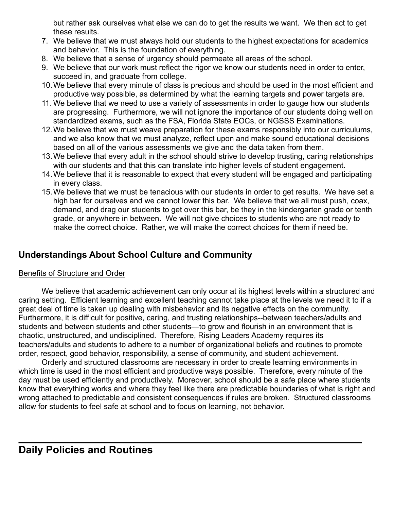but rather ask ourselves what else we can do to get the results we want. We then act to get these results.

- 7. We believe that we must always hold our students to the highest expectations for academics and behavior. This is the foundation of everything.
- 8. We believe that a sense of urgency should permeate all areas of the school.
- 9. We believe that our work must reflect the rigor we know our students need in order to enter, succeed in, and graduate from college.
- 10.We believe that every minute of class is precious and should be used in the most efficient and productive way possible, as determined by what the learning targets and power targets are.
- 11. We believe that we need to use a variety of assessments in order to gauge how our students are progressing. Furthermore, we will not ignore the importance of our students doing well on standardized exams, such as the FSA, Florida State EOCs, or NGSSS Examinations.
- 12.We believe that we must weave preparation for these exams responsibly into our curriculums, and we also know that we must analyze, reflect upon and make sound educational decisions based on all of the various assessments we give and the data taken from them.
- 13.We believe that every adult in the school should strive to develop trusting, caring relationships with our students and that this can translate into higher levels of student engagement.
- 14.We believe that it is reasonable to expect that every student will be engaged and participating in every class.
- 15.We believe that we must be tenacious with our students in order to get results. We have set a high bar for ourselves and we cannot lower this bar. We believe that we all must push, coax, demand, and drag our students to get over this bar, be they in the kindergarten grade or tenth grade, or anywhere in between. We will not give choices to students who are not ready to make the correct choice. Rather, we will make the correct choices for them if need be.

# **Understandings About School Culture and Community**

#### Benefits of Structure and Order

We believe that academic achievement can only occur at its highest levels within a structured and caring setting. Efficient learning and excellent teaching cannot take place at the levels we need it to if a great deal of time is taken up dealing with misbehavior and its negative effects on the community. Furthermore, it is difficult for positive, caring, and trusting relationships--between teachers/adults and students and between students and other students—to grow and flourish in an environment that is chaotic, unstructured, and undisciplined. Therefore, Rising Leaders Academy requires its teachers/adults and students to adhere to a number of organizational beliefs and routines to promote order, respect, good behavior, responsibility, a sense of community, and student achievement.

Orderly and structured classrooms are necessary in order to create learning environments in which time is used in the most efficient and productive ways possible. Therefore, every minute of the day must be used efficiently and productively. Moreover, school should be a safe place where students know that everything works and where they feel like there are predictable boundaries of what is right and wrong attached to predictable and consistent consequences if rules are broken. Structured classrooms allow for students to feel safe at school and to focus on learning, not behavior.

**\_\_\_\_\_\_\_\_\_\_\_\_\_\_\_\_\_\_\_\_\_\_\_\_\_\_\_\_\_\_\_\_\_\_\_\_\_\_\_\_\_\_\_\_\_\_\_\_\_\_\_\_\_\_\_\_\_\_\_\_**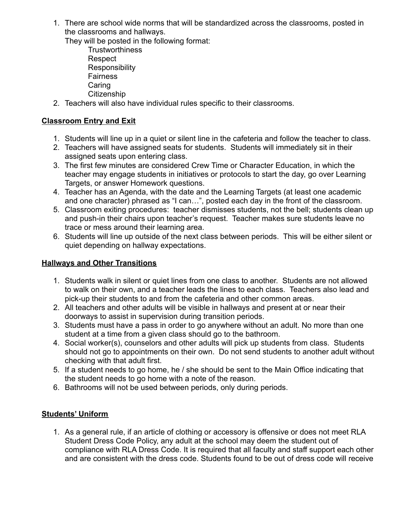1. There are school wide norms that will be standardized across the classrooms, posted in the classrooms and hallways.

They will be posted in the following format:

- **Trustworthiness** Respect **Responsibility Fairness Caring Citizenship**
- 2. Teachers will also have individual rules specific to their classrooms.

# **Classroom Entry and Exit**

- 1. Students will line up in a quiet or silent line in the cafeteria and follow the teacher to class.
- 2. Teachers will have assigned seats for students. Students will immediately sit in their assigned seats upon entering class.
- 3. The first few minutes are considered Crew Time or Character Education, in which the teacher may engage students in initiatives or protocols to start the day, go over Learning Targets, or answer Homework questions.
- 4. Teacher has an Agenda, with the date and the Learning Targets (at least one academic and one character) phrased as "I can…", posted each day in the front of the classroom.
- 5. Classroom exiting procedures: teacher dismisses students, not the bell; students clean up and push-in their chairs upon teacher's request. Teacher makes sure students leave no trace or mess around their learning area.
- 6. Students will line up outside of the next class between periods. This will be either silent or quiet depending on hallway expectations.

#### **Hallways and Other Transitions**

- 1. Students walk in silent or quiet lines from one class to another. Students are not allowed to walk on their own, and a teacher leads the lines to each class. Teachers also lead and pick-up their students to and from the cafeteria and other common areas.
- 2. All teachers and other adults will be visible in hallways and present at or near their doorways to assist in supervision during transition periods.
- 3. Students must have a pass in order to go anywhere without an adult. No more than one student at a time from a given class should go to the bathroom.
- 4. Social worker(s), counselors and other adults will pick up students from class. Students should not go to appointments on their own. Do not send students to another adult without checking with that adult first.
- 5. If a student needs to go home, he / she should be sent to the Main Office indicating that the student needs to go home with a note of the reason.
- 6. Bathrooms will not be used between periods, only during periods.

# **Students' Uniform**

1. As a general rule, if an article of clothing or accessory is offensive or does not meet RLA Student Dress Code Policy, any adult at the school may deem the student out of compliance with RLA Dress Code. It is required that all faculty and staff support each other and are consistent with the dress code. Students found to be out of dress code will receive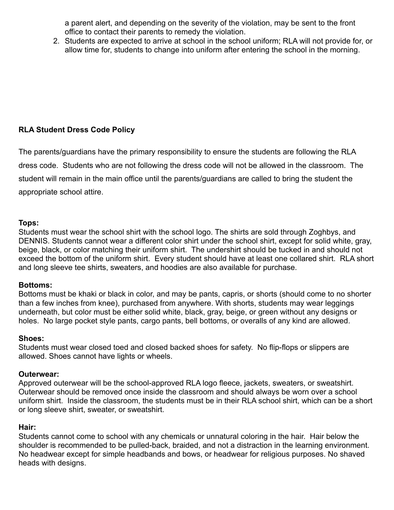a parent alert, and depending on the severity of the violation, may be sent to the front office to contact their parents to remedy the violation.

2. Students are expected to arrive at school in the school uniform; RLA will not provide for, or allow time for, students to change into uniform after entering the school in the morning.

# **RLA Student Dress Code Policy**

The parents/guardians have the primary responsibility to ensure the students are following the RLA dress code. Students who are not following the dress code will not be allowed in the classroom. The student will remain in the main office until the parents/guardians are called to bring the student the appropriate school attire.

#### **Tops:**

Students must wear the school shirt with the school logo. The shirts are sold through Zoghbys, and DENNIS. Students cannot wear a different color shirt under the school shirt, except for solid white, gray, beige, black, or color matching their uniform shirt. The undershirt should be tucked in and should not exceed the bottom of the uniform shirt. Every student should have at least one collared shirt. RLA short and long sleeve tee shirts, sweaters, and hoodies are also available for purchase.

#### **Bottoms:**

Bottoms must be khaki or black in color, and may be pants, capris, or shorts (should come to no shorter than a few inches from knee), purchased from anywhere. With shorts, students may wear leggings underneath, but color must be either solid white, black, gray, beige, or green without any designs or holes. No large pocket style pants, cargo pants, bell bottoms, or overalls of any kind are allowed.

#### **Shoes:**

Students must wear closed toed and closed backed shoes for safety. No flip-flops or slippers are allowed. Shoes cannot have lights or wheels.

#### **Outerwear:**

Approved outerwear will be the school-approved RLA logo fleece, jackets, sweaters, or sweatshirt. Outerwear should be removed once inside the classroom and should always be worn over a school uniform shirt. Inside the classroom, the students must be in their RLA school shirt, which can be a short or long sleeve shirt, sweater, or sweatshirt.

#### **Hair:**

Students cannot come to school with any chemicals or unnatural coloring in the hair. Hair below the shoulder is recommended to be pulled-back, braided, and not a distraction in the learning environment. No headwear except for simple headbands and bows, or headwear for religious purposes. No shaved heads with designs.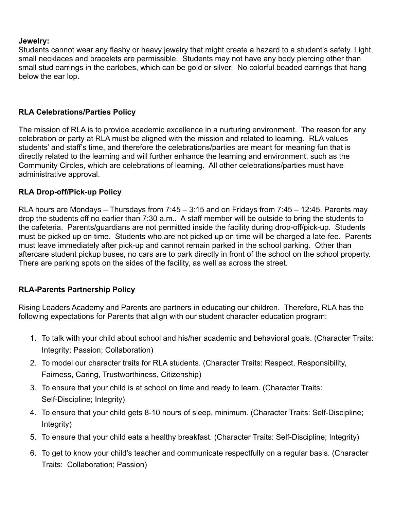#### **Jewelry:**

Students cannot wear any flashy or heavy jewelry that might create a hazard to a student's safety. Light, small necklaces and bracelets are permissible. Students may not have any body piercing other than small stud earrings in the earlobes, which can be gold or silver. No colorful beaded earrings that hang below the ear lop.

#### **RLA Celebrations/Parties Policy**

The mission of RLA is to provide academic excellence in a nurturing environment. The reason for any celebration or party at RLA must be aligned with the mission and related to learning. RLA values students' and staff's time, and therefore the celebrations/parties are meant for meaning fun that is directly related to the learning and will further enhance the learning and environment, such as the Community Circles, which are celebrations of learning. All other celebrations/parties must have administrative approval.

# **RLA Drop-off/Pick-up Policy**

RLA hours are Mondays – Thursdays from 7:45 – 3:15 and on Fridays from 7:45 – 12:45. Parents may drop the students off no earlier than 7:30 a.m.. A staff member will be outside to bring the students to the cafeteria. Parents/guardians are not permitted inside the facility during drop-off/pick-up. Students must be picked up on time. Students who are not picked up on time will be charged a late-fee. Parents must leave immediately after pick-up and cannot remain parked in the school parking. Other than aftercare student pickup buses, no cars are to park directly in front of the school on the school property. There are parking spots on the sides of the facility, as well as across the street.

# **RLA-Parents Partnership Policy**

Rising Leaders Academy and Parents are partners in educating our children. Therefore, RLA has the following expectations for Parents that align with our student character education program:

- 1. To talk with your child about school and his/her academic and behavioral goals. (Character Traits: Integrity; Passion; Collaboration)
- 2. To model our character traits for RLA students. (Character Traits: Respect, Responsibility, Fairness, Caring, Trustworthiness, Citizenship)
- 3. To ensure that your child is at school on time and ready to learn. (Character Traits: Self-Discipline; Integrity)
- 4. To ensure that your child gets 8-10 hours of sleep, minimum. (Character Traits: Self-Discipline; Integrity)
- 5. To ensure that your child eats a healthy breakfast. (Character Traits: Self-Discipline; Integrity)
- 6. To get to know your child's teacher and communicate respectfully on a regular basis. (Character Traits: Collaboration; Passion)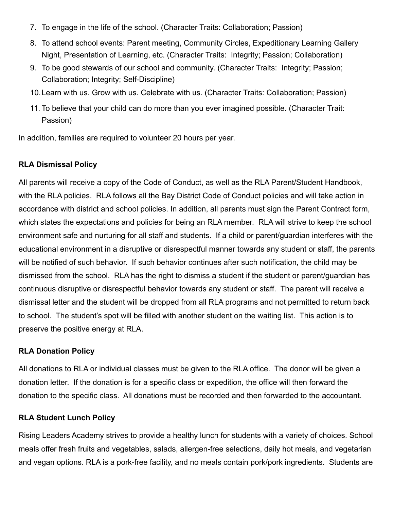- 7. To engage in the life of the school. (Character Traits: Collaboration; Passion)
- 8. To attend school events: Parent meeting, Community Circles, Expeditionary Learning Gallery Night, Presentation of Learning, etc. (Character Traits: Integrity; Passion; Collaboration)
- 9. To be good stewards of our school and community. (Character Traits: Integrity; Passion; Collaboration; Integrity; Self-Discipline)
- 10.Learn with us. Grow with us. Celebrate with us. (Character Traits: Collaboration; Passion)
- 11. To believe that your child can do more than you ever imagined possible. (Character Trait: Passion)

In addition, families are required to volunteer 20 hours per year.

#### **RLA Dismissal Policy**

All parents will receive a copy of the Code of Conduct, as well as the RLA Parent/Student Handbook, with the RLA policies. RLA follows all the Bay District Code of Conduct policies and will take action in accordance with district and school policies. In addition, all parents must sign the Parent Contract form, which states the expectations and policies for being an RLA member. RLA will strive to keep the school environment safe and nurturing for all staff and students. If a child or parent/guardian interferes with the educational environment in a disruptive or disrespectful manner towards any student or staff, the parents will be notified of such behavior. If such behavior continues after such notification, the child may be dismissed from the school. RLA has the right to dismiss a student if the student or parent/guardian has continuous disruptive or disrespectful behavior towards any student or staff. The parent will receive a dismissal letter and the student will be dropped from all RLA programs and not permitted to return back to school. The student's spot will be filled with another student on the waiting list. This action is to preserve the positive energy at RLA.

#### **RLA Donation Policy**

All donations to RLA or individual classes must be given to the RLA office. The donor will be given a donation letter. If the donation is for a specific class or expedition, the office will then forward the donation to the specific class. All donations must be recorded and then forwarded to the accountant.

#### **RLA Student Lunch Policy**

Rising Leaders Academy strives to provide a healthy lunch for students with a variety of choices. School meals offer fresh fruits and vegetables, salads, allergen-free selections, daily hot meals, and vegetarian and vegan options. RLA is a pork-free facility, and no meals contain pork/pork ingredients. Students are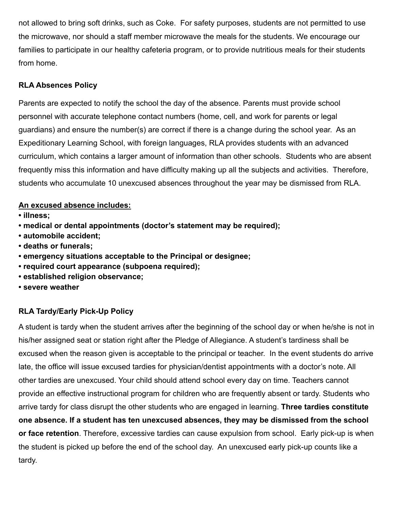not allowed to bring soft drinks, such as Coke. For safety purposes, students are not permitted to use the microwave, nor should a staff member microwave the meals for the students. We encourage our families to participate in our healthy cafeteria program, or to provide nutritious meals for their students from home.

# **RLA Absences Policy**

Parents are expected to notify the school the day of the absence. Parents must provide school personnel with accurate telephone contact numbers (home, cell, and work for parents or legal guardians) and ensure the number(s) are correct if there is a change during the school year. As an Expeditionary Learning School, with foreign languages, RLA provides students with an advanced curriculum, which contains a larger amount of information than other schools. Students who are absent frequently miss this information and have difficulty making up all the subjects and activities. Therefore, students who accumulate 10 unexcused absences throughout the year may be dismissed from RLA.

#### **An excused absence includes:**

- **illness;**
- **medical or dental appointments (doctor's statement may be required);**
- **automobile accident;**
- **deaths or funerals;**
- **emergency situations acceptable to the Principal or designee;**
- **required court appearance (subpoena required);**
- **established religion observance;**
- **severe weather**

# **RLA Tardy/Early Pick-Up Policy**

A student is tardy when the student arrives after the beginning of the school day or when he/she is not in his/her assigned seat or station right after the Pledge of Allegiance. A student's tardiness shall be excused when the reason given is acceptable to the principal or teacher. In the event students do arrive late, the office will issue excused tardies for physician/dentist appointments with a doctor's note. All other tardies are unexcused. Your child should attend school every day on time. Teachers cannot provide an effective instructional program for children who are frequently absent or tardy. Students who arrive tardy for class disrupt the other students who are engaged in learning. **Three tardies constitute one absence. If a student has ten unexcused absences, they may be dismissed from the school or face retention**. Therefore, excessive tardies can cause expulsion from school. Early pick-up is when the student is picked up before the end of the school day. An unexcused early pick-up counts like a tardy.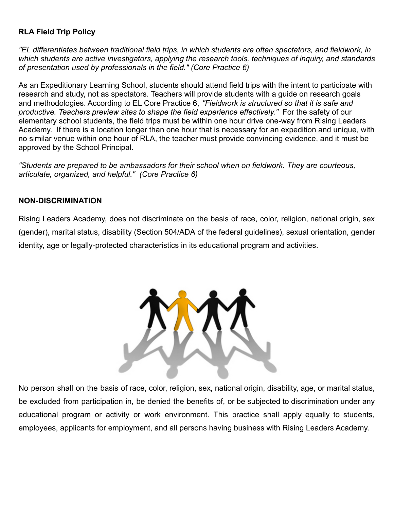### **RLA Field Trip Policy**

*"EL differentiates between traditional field trips, in which students are often spectators, and fieldwork, in which students are active investigators, applying the research tools, techniques of inquiry, and standards of presentation used by professionals in the field." (Core Practice 6)*

As an Expeditionary Learning School, students should attend field trips with the intent to participate with research and study, not as spectators. Teachers will provide students with a guide on research goals and methodologies. According to EL Core Practice 6, *"Fieldwork is structured so that it is safe and productive. Teachers preview sites to shape the field experience effectively."* For the safety of our elementary school students, the field trips must be within one hour drive one-way from Rising Leaders Academy. If there is a location longer than one hour that is necessary for an expedition and unique, with no similar venue within one hour of RLA, the teacher must provide convincing evidence, and it must be approved by the School Principal.

*"Students are prepared to be ambassadors for their school when on fieldwork. They are courteous, articulate, organized, and helpful." (Core Practice 6)*

#### **NON-DISCRIMINATION**

Rising Leaders Academy, does not discriminate on the basis of race, color, religion, national origin, sex (gender), marital status, disability (Section 504/ADA of the federal guidelines), sexual orientation, gender identity, age or legally-protected characteristics in its educational program and activities.



No person shall on the basis of race, color, religion, sex, national origin, disability, age, or marital status, be excluded from participation in, be denied the benefits of, or be subjected to discrimination under any educational program or activity or work environment. This practice shall apply equally to students, employees, applicants for employment, and all persons having business with Rising Leaders Academy.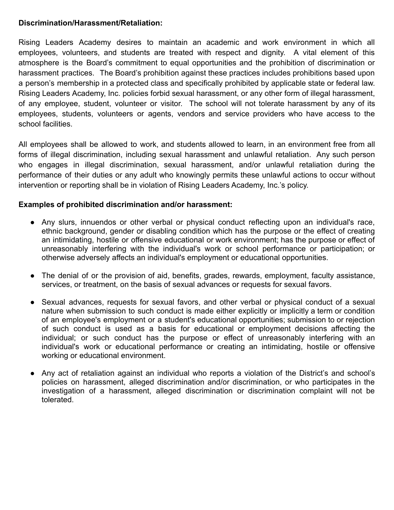#### **Discrimination/Harassment/Retaliation:**

Rising Leaders Academy desires to maintain an academic and work environment in which all employees, volunteers, and students are treated with respect and dignity. A vital element of this atmosphere is the Board's commitment to equal opportunities and the prohibition of discrimination or harassment practices. The Board's prohibition against these practices includes prohibitions based upon a person's membership in a protected class and specifically prohibited by applicable state or federal law. Rising Leaders Academy, Inc. policies forbid sexual harassment, or any other form of illegal harassment, of any employee, student, volunteer or visitor. The school will not tolerate harassment by any of its employees, students, volunteers or agents, vendors and service providers who have access to the school facilities.

All employees shall be allowed to work, and students allowed to learn, in an environment free from all forms of illegal discrimination, including sexual harassment and unlawful retaliation. Any such person who engages in illegal discrimination, sexual harassment, and/or unlawful retaliation during the performance of their duties or any adult who knowingly permits these unlawful actions to occur without intervention or reporting shall be in violation of Rising Leaders Academy, Inc.'s policy.

#### **Examples of prohibited discrimination and/or harassment:**

- Any slurs, innuendos or other verbal or physical conduct reflecting upon an individual's race, ethnic background, gender or disabling condition which has the purpose or the effect of creating an intimidating, hostile or offensive educational or work environment; has the purpose or effect of unreasonably interfering with the individual's work or school performance or participation; or otherwise adversely affects an individual's employment or educational opportunities.
- The denial of or the provision of aid, benefits, grades, rewards, employment, faculty assistance, services, or treatment, on the basis of sexual advances or requests for sexual favors.
- Sexual advances, requests for sexual favors, and other verbal or physical conduct of a sexual nature when submission to such conduct is made either explicitly or implicitly a term or condition of an employee's employment or a student's educational opportunities; submission to or rejection of such conduct is used as a basis for educational or employment decisions affecting the individual; or such conduct has the purpose or effect of unreasonably interfering with an individual's work or educational performance or creating an intimidating, hostile or offensive working or educational environment.
- Any act of retaliation against an individual who reports a violation of the District's and school's policies on harassment, alleged discrimination and/or discrimination, or who participates in the investigation of a harassment, alleged discrimination or discrimination complaint will not be tolerated.